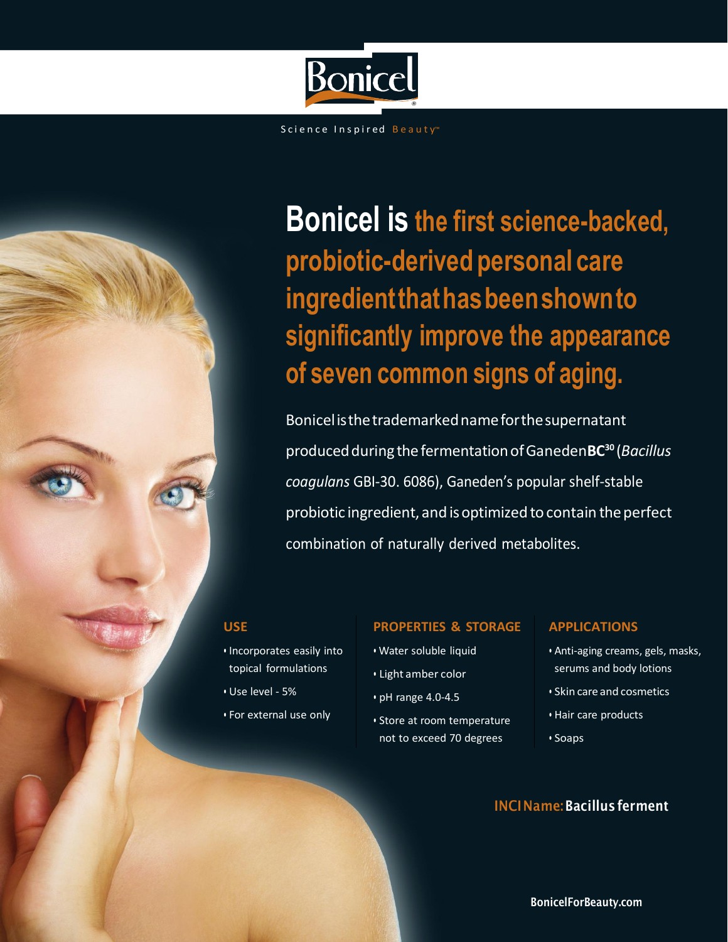

Science Inspired Beauty™

# **Bonicel is the first science-backed, probiotic-derived personal care ingredientthathasbeenshownto significantly improve the appearance of seven common signs of aging.**

Bonicelisthetrademarkednameforthesupernatant producedduringthefermentationofGaneden**BC<sup>30</sup>** (*Bacillus coagulans* GBI-30. 6086), Ganeden's popular shelf-stable probiotic ingredient, and is optimized to contain the perfect combination of naturally derived metabolites.

#### **USE**

- Incorporates easily into topical formulations
- Use level 5%
- For external use only

### **PROPERTIES & STORAGE**

- Water soluble liquid
- Light amber color
- pH range 4.0-4.5
- Store at room temperature not to exceed 70 degrees

#### **APPLICATIONS**

- Anti-aging creams, gels, masks, serums and body lotions
- Skin care and cosmetics
- Hair care products
- Soaps

### **INCIName:Bacillus ferment**

**BonicelForBeauty.com**